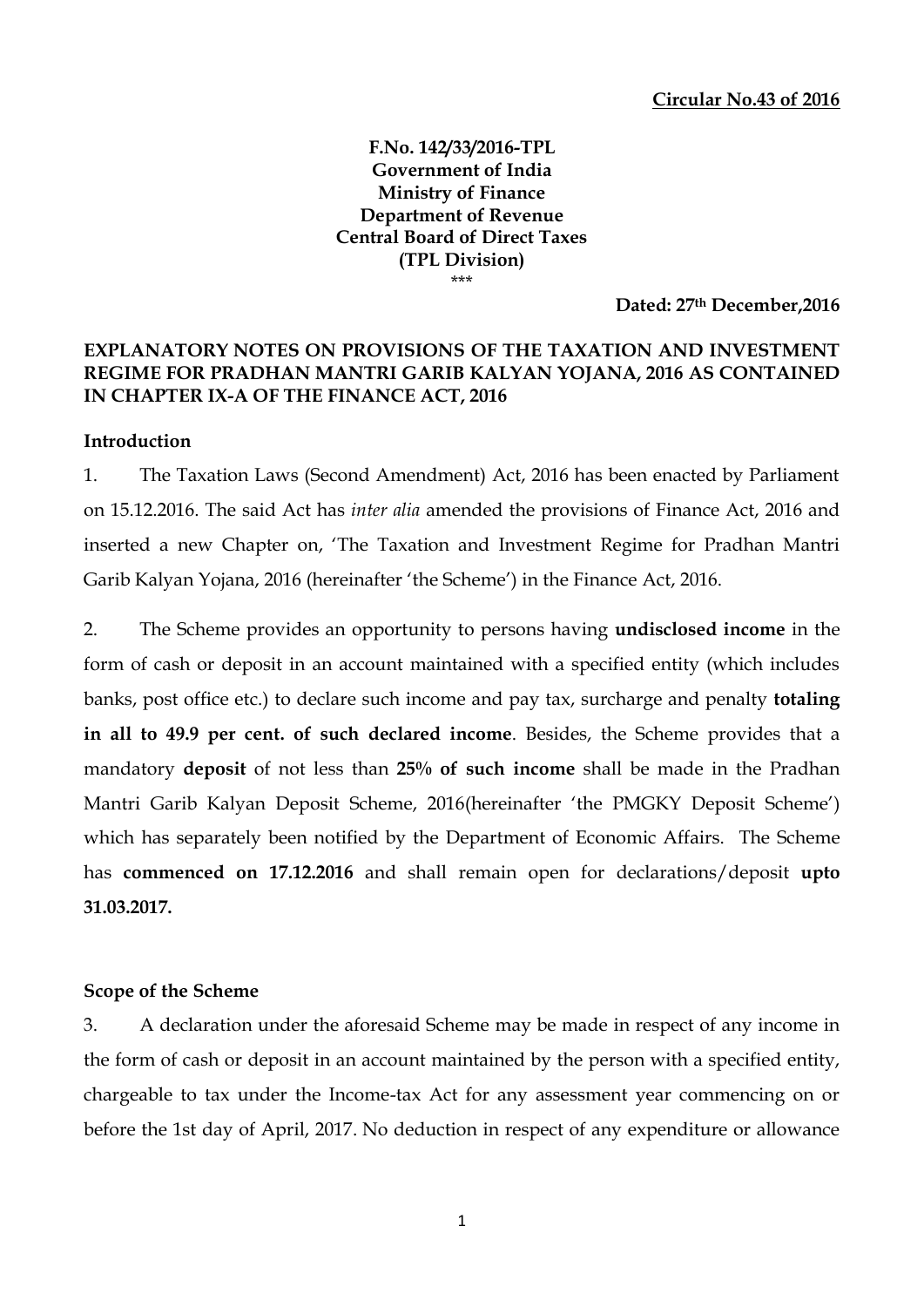## **F.No. 142/33/2016-TPL Government of India Ministry of Finance Department of Revenue Central Board of Direct Taxes (TPL Division)** \*\*\*

**Dated: 27th December,2016**

# **EXPLANATORY NOTES ON PROVISIONS OF THE TAXATION AND INVESTMENT REGIME FOR PRADHAN MANTRI GARIB KALYAN YOJANA, 2016 AS CONTAINED IN CHAPTER IX-A OF THE FINANCE ACT, 2016**

# **Introduction**

1. The Taxation Laws (Second Amendment) Act, 2016 has been enacted by Parliament on 15.12.2016. The said Act has *inter alia* amended the provisions of Finance Act, 2016 and inserted a new Chapter on, 'The Taxation and Investment Regime for Pradhan Mantri Garib Kalyan Yojana, 2016 (hereinafter 'the Scheme') in the Finance Act, 2016.

2. The Scheme provides an opportunity to persons having **undisclosed income** in the form of cash or deposit in an account maintained with a specified entity (which includes banks, post office etc.) to declare such income and pay tax, surcharge and penalty **totaling in all to 49.9 per cent. of such declared income**. Besides, the Scheme provides that a mandatory **deposit** of not less than **25% of such income** shall be made in the Pradhan Mantri Garib Kalyan Deposit Scheme, 2016(hereinafter 'the PMGKY Deposit Scheme') which has separately been notified by the Department of Economic Affairs. The Scheme has **commenced on 17.12.2016** and shall remain open for declarations/deposit **upto 31.03.2017.**

## **Scope of the Scheme**

3. A declaration under the aforesaid Scheme may be made in respect of any income in the form of cash or deposit in an account maintained by the person with a specified entity, chargeable to tax under the Income-tax Act for any assessment year commencing on or before the 1st day of April, 2017. No deduction in respect of any expenditure or allowance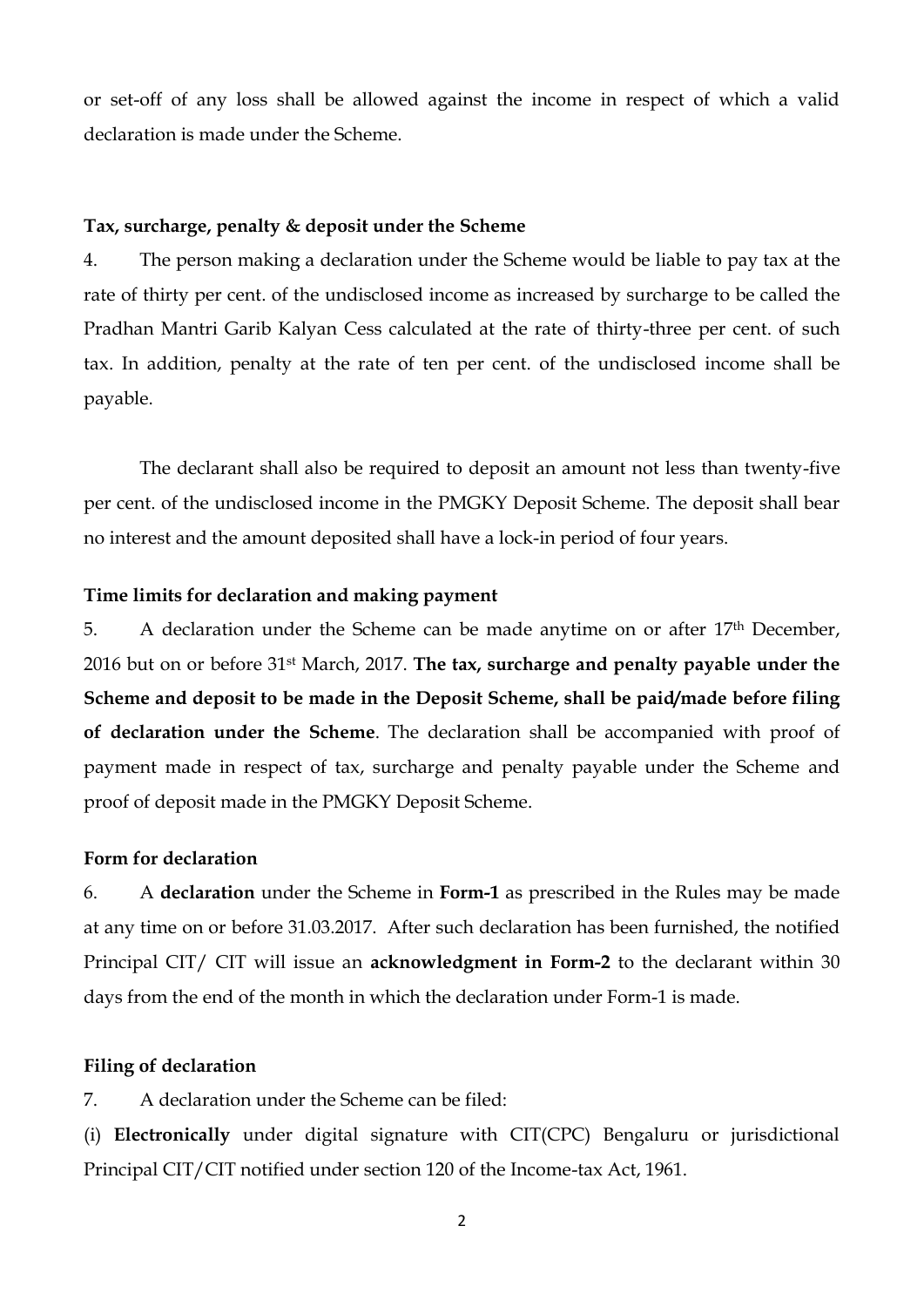or set-off of any loss shall be allowed against the income in respect of which a valid declaration is made under the Scheme.

### **Tax, surcharge, penalty & deposit under the Scheme**

4. The person making a declaration under the Scheme would be liable to pay tax at the rate of thirty per cent. of the undisclosed income as increased by surcharge to be called the Pradhan Mantri Garib Kalyan Cess calculated at the rate of thirty-three per cent. of such tax. In addition, penalty at the rate of ten per cent. of the undisclosed income shall be payable.

The declarant shall also be required to deposit an amount not less than twenty-five per cent. of the undisclosed income in the PMGKY Deposit Scheme. The deposit shall bear no interest and the amount deposited shall have a lock-in period of four years.

### **Time limits for declaration and making payment**

5. A declaration under the Scheme can be made anytime on or after 17<sup>th</sup> December, 2016 but on or before 31st March, 2017. **The tax, surcharge and penalty payable under the Scheme and deposit to be made in the Deposit Scheme, shall be paid/made before filing of declaration under the Scheme**. The declaration shall be accompanied with proof of payment made in respect of tax, surcharge and penalty payable under the Scheme and proof of deposit made in the PMGKY Deposit Scheme.

### **Form for declaration**

6. A **declaration** under the Scheme in **Form-1** as prescribed in the Rules may be made at any time on or before 31.03.2017. After such declaration has been furnished, the notified Principal CIT/ CIT will issue an **acknowledgment in Form-2** to the declarant within 30 days from the end of the month in which the declaration under Form-1 is made.

## **Filing of declaration**

7. A declaration under the Scheme can be filed:

(i) **Electronically** under digital signature with CIT(CPC) Bengaluru or jurisdictional Principal CIT/CIT notified under section 120 of the Income-tax Act, 1961.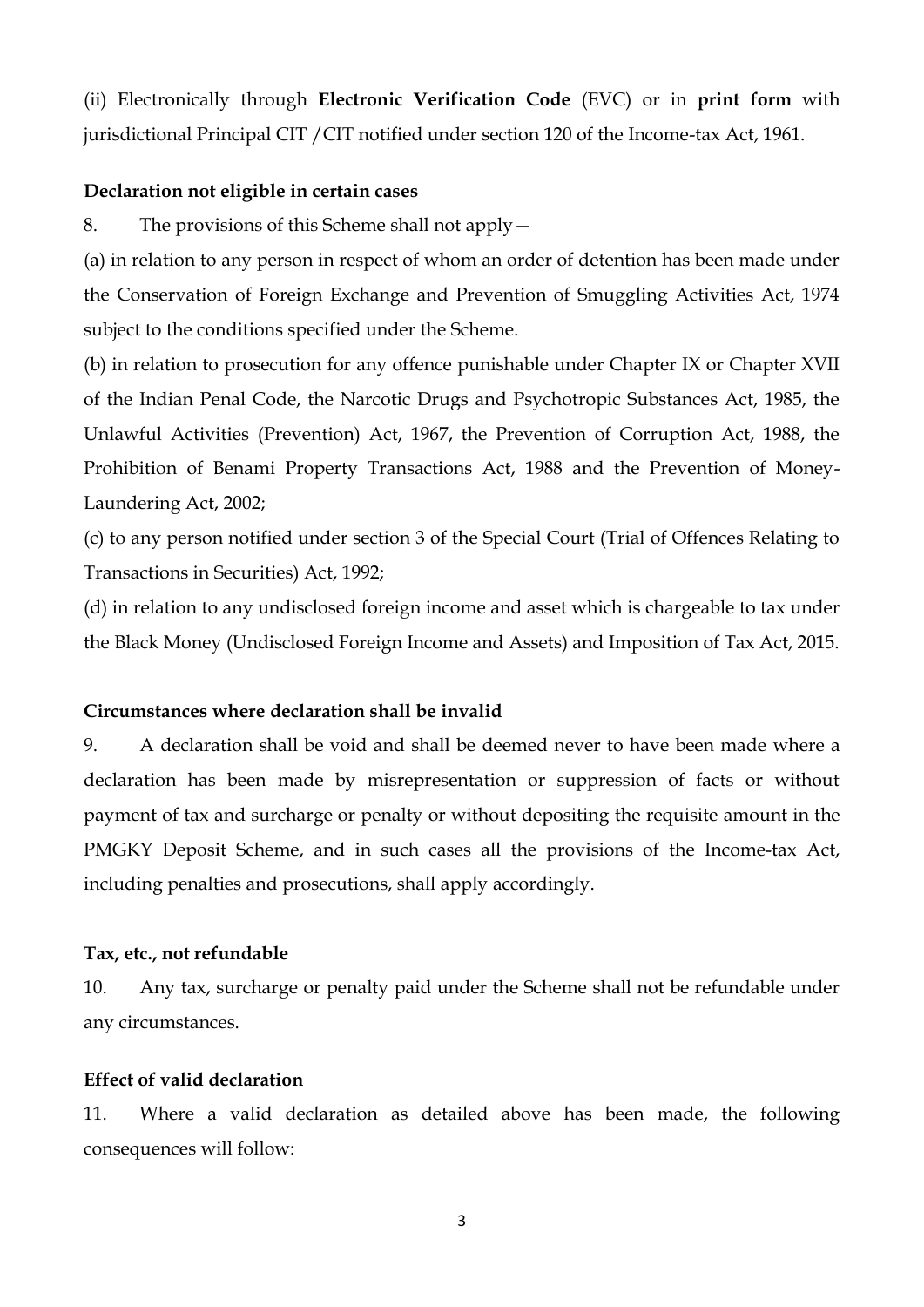(ii) Electronically through **Electronic Verification Code** (EVC) or in **print form** with jurisdictional Principal CIT /CIT notified under section 120 of the Income-tax Act, 1961.

### **Declaration not eligible in certain cases**

8. The provisions of this Scheme shall not apply—

(a) in relation to any person in respect of whom an order of detention has been made under the Conservation of Foreign Exchange and Prevention of Smuggling Activities Act, 1974 subject to the conditions specified under the Scheme.

(b) in relation to prosecution for any offence punishable under Chapter IX or Chapter XVII of the Indian Penal Code, the Narcotic Drugs and Psychotropic Substances Act, 1985, the Unlawful Activities (Prevention) Act, 1967, the Prevention of Corruption Act, 1988, the Prohibition of Benami Property Transactions Act, 1988 and the Prevention of Money-Laundering Act, 2002;

(c) to any person notified under section 3 of the Special Court (Trial of Offences Relating to Transactions in Securities) Act, 1992;

(d) in relation to any undisclosed foreign income and asset which is chargeable to tax under the Black Money (Undisclosed Foreign Income and Assets) and Imposition of Tax Act, 2015.

# **Circumstances where declaration shall be invalid**

9. A declaration shall be void and shall be deemed never to have been made where a declaration has been made by misrepresentation or suppression of facts or without payment of tax and surcharge or penalty or without depositing the requisite amount in the PMGKY Deposit Scheme, and in such cases all the provisions of the Income-tax Act, including penalties and prosecutions, shall apply accordingly.

#### **Tax, etc., not refundable**

10. Any tax, surcharge or penalty paid under the Scheme shall not be refundable under any circumstances.

#### **Effect of valid declaration**

11. Where a valid declaration as detailed above has been made, the following consequences will follow: